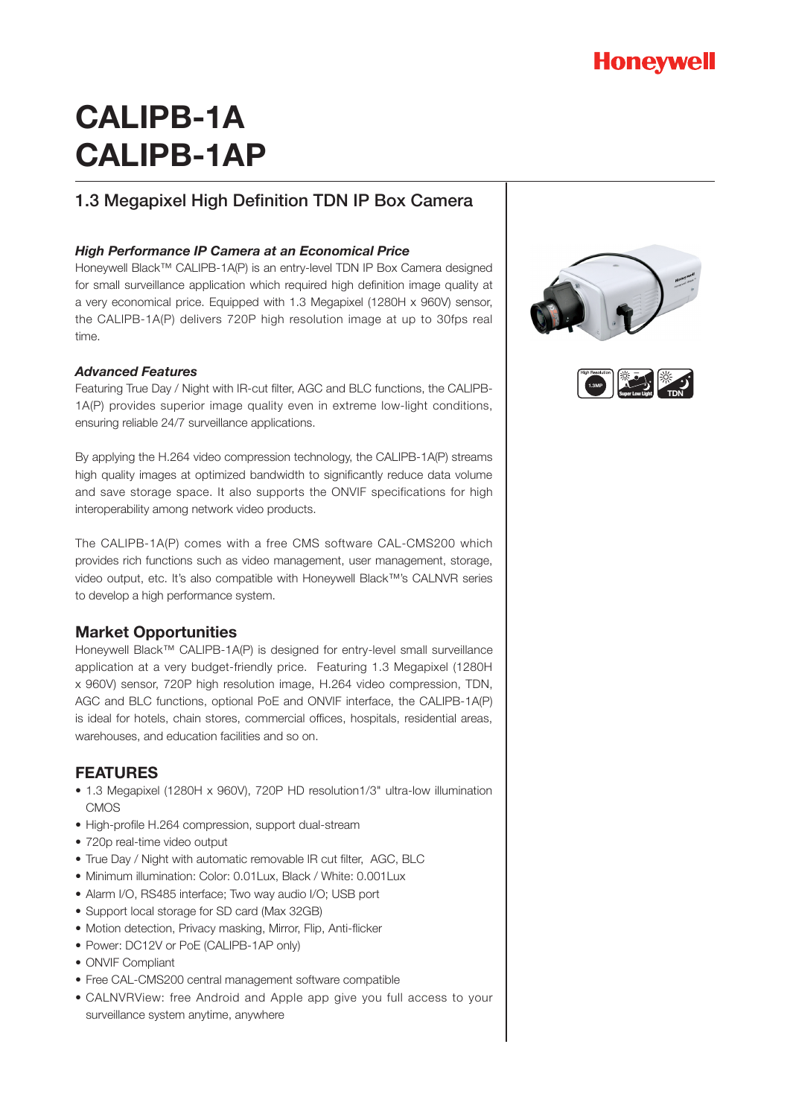

# **CALIPB-1A CALIPB-1AP**

## 1.3 Megapixel High Definition TDN IP Box Camera

### *High Performance IP Camera at an Economical Price*

Honeywell Black™ CALIPB-1A(P) is an entry-level TDN IP Box Camera designed for small surveillance application which required high definition image quality at a very economical price. Equipped with 1.3 Megapixel (1280H x 960V) sensor, the CALIPB-1A(P) delivers 720P high resolution image at up to 30fps real time.

#### *Advanced Features*

Featuring True Day / Night with IR-cut filter, AGC and BLC functions, the CALIPB-1A(P) provides superior image quality even in extreme low-light conditions, ensuring reliable 24/7 surveillance applications.

By applying the H.264 video compression technology, the CALIPB-1A(P) streams high quality images at optimized bandwidth to significantly reduce data volume and save storage space. It also supports the ONVIF specifications for high interoperability among network video products.

The CALIPB-1A(P) comes with a free CMS software CAL-CMS200 which provides rich functions such as video management, user management, storage, video output, etc. It's also compatible with Honeywell Black™'s CALNVR series to develop a high performance system.

### **Market Opportunities**

Honeywell Black™ CALIPB-1A(P) is designed for entry-level small surveillance application at a very budget-friendly price. Featuring 1.3 Megapixel (1280H x 960V) sensor, 720P high resolution image, H.264 video compression, TDN, AGC and BLC functions, optional PoE and ONVIF interface, the CALIPB-1A(P) is ideal for hotels, chain stores, commercial offices, hospitals, residential areas, warehouses, and education facilities and so on.

## **FEATURES**

- 1.3 Megapixel (1280H x 960V), 720P HD resolution1/3" ultra-low illumination CMOS
- High-profile H.264 compression, support dual-stream
- 720p real-time video output
- True Day / Night with automatic removable IR cut filter, AGC, BLC
- Minimum illumination: Color: 0.01Lux, Black / White: 0.001Lux
- Alarm I/O, RS485 interface; Two way audio I/O; USB port
- Support local storage for SD card (Max 32GB)
- Motion detection, Privacy masking, Mirror, Flip, Anti-flicker
- Power: DC12V or PoE (CALIPB-1AP only)
- ONVIF Compliant
- Free CAL-CMS200 central management software compatible
- CALNVRView: free Android and Apple app give you full access to your surveillance system anytime, anywhere



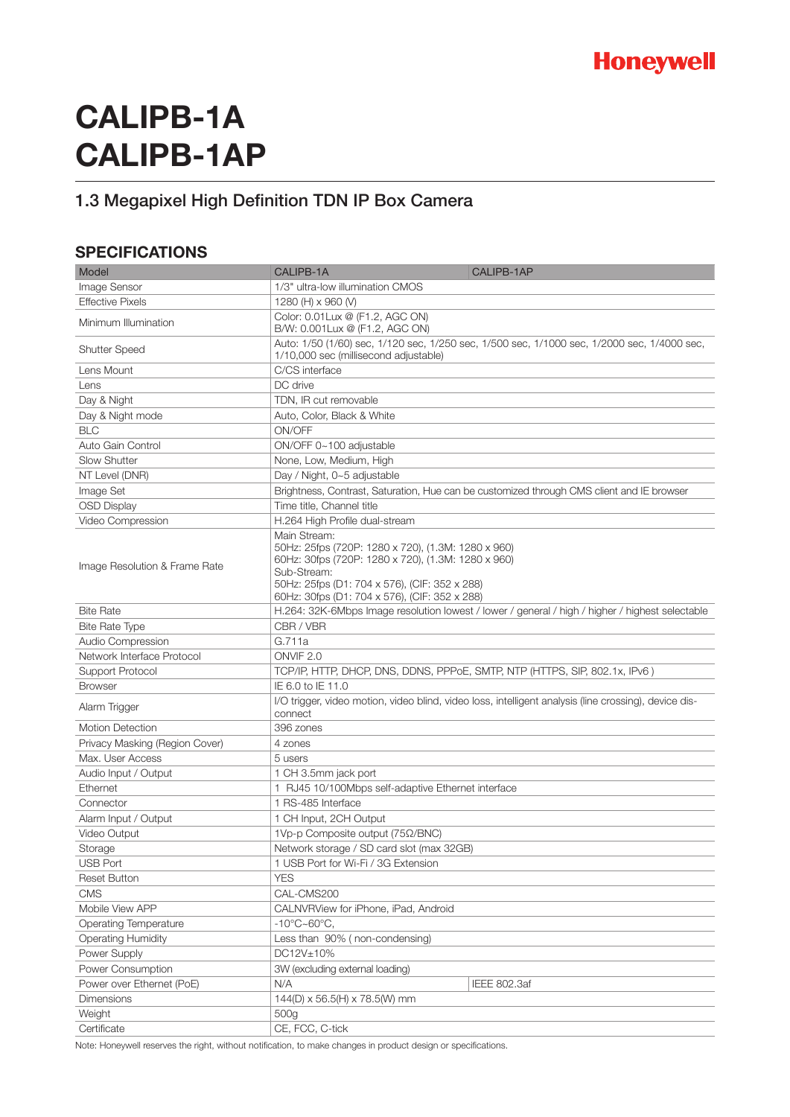

# **CALIPB-1A CALIPB-1AP**

**Honeywell BlackTM**

## 1.3 Megapixel High Definition TDN IP Box Camera

## **SPECIFICATIONS**

| Model                          | CALIPB-1A                                                                                                                                                                                                                                 | CALIPB-1AP          |
|--------------------------------|-------------------------------------------------------------------------------------------------------------------------------------------------------------------------------------------------------------------------------------------|---------------------|
| <b>Image Sensor</b>            | 1/3" ultra-low illumination CMOS                                                                                                                                                                                                          |                     |
| <b>Effective Pixels</b>        | 1280 (H) x 960 (V)                                                                                                                                                                                                                        |                     |
| Minimum Illumination           | Color: 0.01Lux @ (F1.2, AGC ON)                                                                                                                                                                                                           |                     |
|                                | B/W: 0.001 Lux @ (F1.2, AGC ON)                                                                                                                                                                                                           |                     |
| <b>Shutter Speed</b>           | Auto: 1/50 (1/60) sec, 1/120 sec, 1/250 sec, 1/500 sec, 1/1000 sec, 1/2000 sec, 1/4000 sec,<br>1/10,000 sec (millisecond adjustable)                                                                                                      |                     |
| Lens Mount                     | C/CS interface                                                                                                                                                                                                                            |                     |
| Lens                           | DC drive                                                                                                                                                                                                                                  |                     |
| Day & Night                    | TDN, IR cut removable                                                                                                                                                                                                                     |                     |
| Day & Night mode               | Auto, Color, Black & White                                                                                                                                                                                                                |                     |
| <b>BLC</b>                     | ON/OFF                                                                                                                                                                                                                                    |                     |
| Auto Gain Control              | ON/OFF 0~100 adjustable                                                                                                                                                                                                                   |                     |
| <b>Slow Shutter</b>            | None, Low, Medium, High                                                                                                                                                                                                                   |                     |
| NT Level (DNR)                 | Day / Night, 0~5 adjustable                                                                                                                                                                                                               |                     |
| Image Set                      | Brightness, Contrast, Saturation, Hue can be customized through CMS client and IE browser                                                                                                                                                 |                     |
| <b>OSD Display</b>             | Time title, Channel title                                                                                                                                                                                                                 |                     |
| Video Compression              | H.264 High Profile dual-stream                                                                                                                                                                                                            |                     |
| Image Resolution & Frame Rate  | Main Stream:<br>50Hz: 25fps (720P: 1280 x 720), (1.3M: 1280 x 960)<br>60Hz: 30fps (720P: 1280 x 720), (1.3M: 1280 x 960)<br>Sub-Stream:<br>50Hz: 25fps (D1: 704 x 576), (CIF: 352 x 288)<br>60Hz: 30fps (D1: 704 x 576), (CIF: 352 x 288) |                     |
| <b>Bite Rate</b>               | H.264: 32K-6Mbps Image resolution lowest / lower / general / high / higher / highest selectable                                                                                                                                           |                     |
| <b>Bite Rate Type</b>          | CBR / VBR                                                                                                                                                                                                                                 |                     |
| Audio Compression              | G.711a                                                                                                                                                                                                                                    |                     |
| Network Interface Protocol     | ONVIF <sub>2.0</sub>                                                                                                                                                                                                                      |                     |
| Support Protocol               | TCP/IP, HTTP, DHCP, DNS, DDNS, PPPoE, SMTP, NTP (HTTPS, SIP, 802.1x, IPv6)                                                                                                                                                                |                     |
| <b>Browser</b>                 | IE 6.0 to IE 11.0                                                                                                                                                                                                                         |                     |
| Alarm Trigger                  | I/O trigger, video motion, video blind, video loss, intelligent analysis (line crossing), device dis-<br>connect                                                                                                                          |                     |
| <b>Motion Detection</b>        | 396 zones                                                                                                                                                                                                                                 |                     |
| Privacy Masking (Region Cover) | 4 zones                                                                                                                                                                                                                                   |                     |
| Max. User Access               | 5 users                                                                                                                                                                                                                                   |                     |
| Audio Input / Output           | 1 CH 3.5mm jack port                                                                                                                                                                                                                      |                     |
| Ethernet                       | 1 RJ45 10/100Mbps self-adaptive Ethernet interface                                                                                                                                                                                        |                     |
| Connector                      | 1 RS-485 Interface                                                                                                                                                                                                                        |                     |
| Alarm Input / Output           | 1 CH Input, 2CH Output                                                                                                                                                                                                                    |                     |
| Video Output                   | 1Vp-p Composite output (75Ω/BNC)                                                                                                                                                                                                          |                     |
| Storage                        | Network storage / SD card slot (max 32GB)                                                                                                                                                                                                 |                     |
| <b>USB Port</b>                | 1 USB Port for Wi-Fi / 3G Extension                                                                                                                                                                                                       |                     |
| <b>Reset Button</b>            | <b>YES</b>                                                                                                                                                                                                                                |                     |
| <b>CMS</b>                     | CAL-CMS200                                                                                                                                                                                                                                |                     |
| Mobile View APP                | CALNVRView for iPhone, iPad, Android                                                                                                                                                                                                      |                     |
| Operating Temperature          | $-10^{\circ}$ C $\sim$ 60 $^{\circ}$ C,                                                                                                                                                                                                   |                     |
| <b>Operating Humidity</b>      | Less than 90% (non-condensing)                                                                                                                                                                                                            |                     |
| Power Supply                   | DC12V±10%                                                                                                                                                                                                                                 |                     |
| Power Consumption              | 3W (excluding external loading)                                                                                                                                                                                                           |                     |
| Power over Ethernet (PoE)      | N/A                                                                                                                                                                                                                                       | <b>IEEE 802.3af</b> |
| Dimensions                     | 144(D) x 56.5(H) x 78.5(W) mm                                                                                                                                                                                                             |                     |
| Weight                         | 500g                                                                                                                                                                                                                                      |                     |
| Certificate                    | CE, FCC, C-tick                                                                                                                                                                                                                           |                     |

Note: Honeywell reserves the right, without notification, to make changes in product design or specifications.